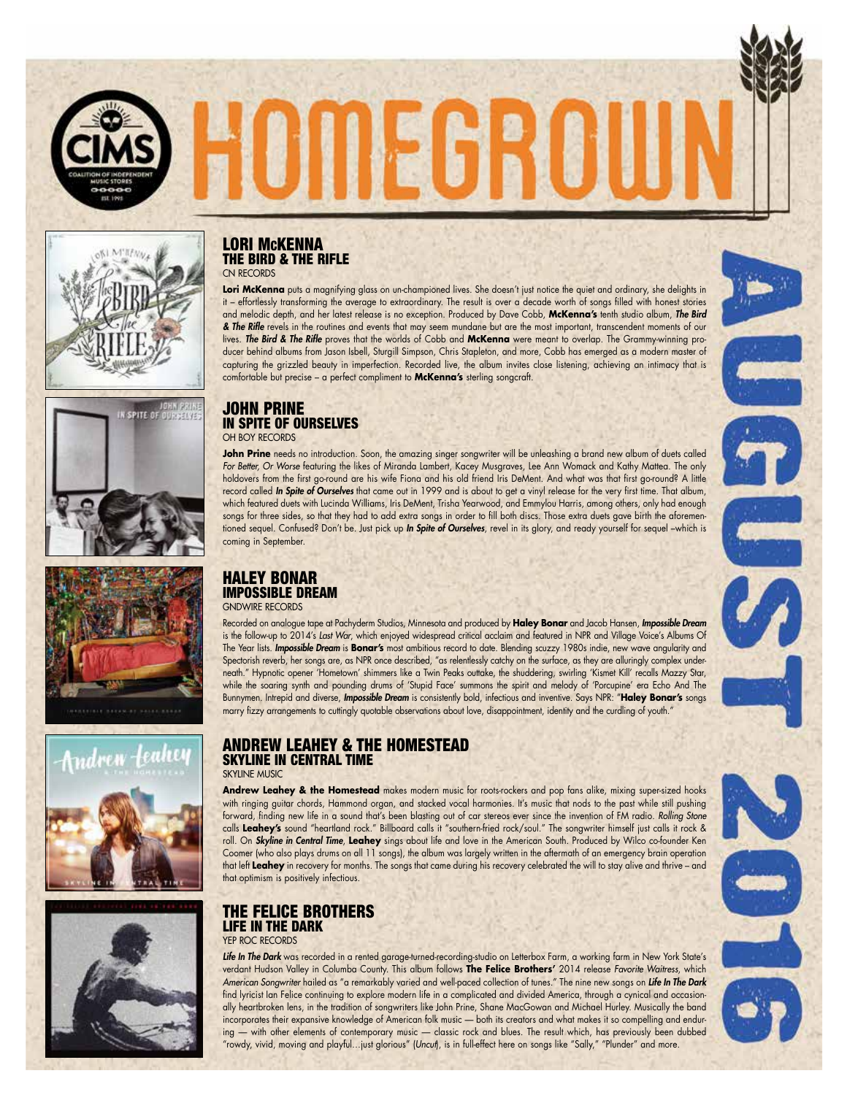













## LORI McKENNA THE BIRD & THE RIFLE CN RECORDS

**Lori McKenna** puts a magnifying glass on un-championed lives. She doesn't just notice the quiet and ordinary, she delights in it – effortlessly transforming the average to extraordinary. The result is over a decade worth of songs filled with honest stories and melodic depth, and her latest release is no exception. Produced by Dave Cobb, **McKenna's** tenth studio album, *The Bird & The Rifle* revels in the routines and events that may seem mundane but are the most important, transcendent moments of our lives. *The Bird & The Rifle* proves that the worlds of Cobb and **McKenna** were meant to overlap. The Grammy-winning producer behind albums from Jason Isbell, Sturgill Simpson, Chris Stapleton, and more, Cobb has emerged as a modern master of capturing the grizzled beauty in imperfection. Recorded live, the album invites close listening, achieving an intimacy that is comfortable but precise – a perfect compliment to **McKenna's** sterling songcraft.

## JOHN PRINE IN SPITE OF OURSELVES OH BOY RECORDS

**John Prine** needs no introduction. Soon, the amazing singer songwriter will be unleashing a brand new album of duets called *For Better, Or Worse* featuring the likes of Miranda Lambert, Kacey Musgraves, Lee Ann Womack and Kathy Mattea. The only holdovers from the first go-round are his wife Fiona and his old friend Iris DeMent. And what was that first go-round? A little record called *In Spite of Ourselves* that came out in 1999 and is about to get a vinyl release for the very first time. That album, which featured duets with Lucinda Williams, Iris DeMent, Trisha Yearwood, and Emmylou Harris, among others, only had enough songs for three sides, so that they had to add extra songs in order to fill both discs. Those extra duets gave birth the aforementioned sequel. Confused? Don't be. Just pick up *In Spite of Ourselves*, revel in its glory, and ready yourself for sequel –which is coming in September.

#### HALEY BONAR IMPOSSIBLE DREAM GNDWIRE RECORDS

Recorded on analogue tape at Pachyderm Studios, Minnesota and produced by **Haley Bonar** and Jacob Hansen, *Impossible Dream* is the follow-up to 2014's *Last War*, which enjoyed widespread critical acclaim and featured in NPR and Village Voice's Albums Of The Year lists. *Impossible Dream* is **Bonar's** most ambitious record to date. Blending scuzzy 1980s indie, new wave angularity and Spectorish reverb, her songs are, as NPR once described, "as relentlessly catchy on the surface, as they are alluringly complex underneath." Hypnotic opener 'Hometown' shimmers like a Twin Peaks outtake, the shuddering, swirling 'Kismet Kill' recalls Mazzy Star, while the soaring synth and pounding drums of 'Stupid Face' summons the spirit and melody of 'Porcupine' era Echo And The Bunnymen. Intrepid and diverse, *Impossible Dream* is consistently bold, infectious and inventive. Says NPR: "**Haley Bonar's** songs marry fizzy arrangements to cuttingly quotable observations about love, disappointment, identity and the curdling of youth."

# ANDREW LEAHEY & THE HOMESTEAD SKYLINE IN CENTRAL TIME

## SKYLINE MUSIC

**Andrew Leahey & the Homestead** makes modern music for roots-rockers and pop fans alike, mixing super-sized hooks with ringing guitar chords, Hammond organ, and stacked vocal harmonies. It's music that nods to the past while still pushing forward, finding new life in a sound that's been blasting out of car stereos ever since the invention of FM radio. *Rolling Stone* calls **Leahey's** sound "heartland rock." Billboard calls it "southern-fried rock/soul." The songwriter himself just calls it rock & roll. On *Skyline in Central Time*, **Leahey** sings about life and love in the American South. Produced by Wilco co-founder Ken Coomer (who also plays drums on all 11 songs), the album was largely written in the aftermath of an emergency brain operation that left **Leahey** in recovery for months. The songs that came during his recovery celebrated the will to stay alive and thrive – and that optimism is positively infectious.

#### THE FELICE BROTHERS LIFE IN THE DARK YEP ROC RECORDS

*Life In The Dark* was recorded in a rented garage-turned-recording-studio on Letterbox Farm, a working farm in New York State's verdant Hudson Valley in Columba County. This album follows **The Felice Brothers'** 2014 release *Favorite Waitress*, which *American Songwriter* hailed as "a remarkably varied and well-paced collection of tunes." The nine new songs on *Life In The Dark* find lyricist Ian Felice continuing to explore modern life in a complicated and divided America, through a cynical and occasionally heartbroken lens, in the tradition of songwriters like John Prine, Shane MacGowan and Michael Hurley. Musically the band incorporates their expansive knowledge of American folk music — both its creators and what makes it so compelling and enduring — with other elements of contemporary music — classic rock and blues. The result which, has previously been dubbed "rowdy, vivid, moving and playful…just glorious" (*Uncut*), is in full-effect here on songs like "Sally," "Plunder" and more.